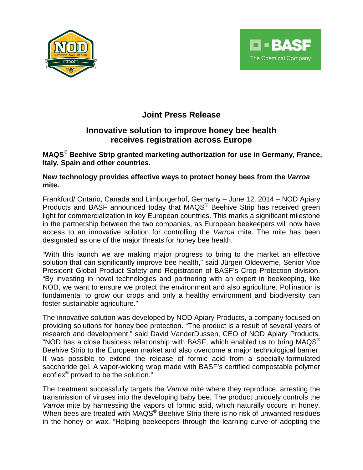



# **Joint Press Release**

## **Innovative solution to improve honey bee health receives registration across Europe**

**MAQS**® **Beehive Strip granted marketing authorization for use in Germany, France, Italy, Spain and other countries.**

**New technology provides effective ways to protect honey bees from the** *Varroa* **mite.**

Frankford/ Ontario, Canada and Limburgerhof, Germany – June 12, 2014 – NOD Apiary Products and BASF announced today that MAQS<sup>®</sup> Beehive Strip has received green light for commercialization in key European countries. This marks a significant milestone in the partnership between the two companies, as European beekeepers will now have access to an innovative solution for controlling the *Varroa* mite. The mite has been designated as one of the major threats for honey bee health.

"With this launch we are making major progress to bring to the market an effective solution that can significantly improve bee health," said Jürgen Oldeweme, Senior Vice President Global Product Safety and Registration of BASF's Crop Protection division. "By investing in novel technologies and partnering with an expert in beekeeping, like NOD, we want to ensure we protect the environment and also agriculture. Pollination is fundamental to grow our crops and only a healthy environment and biodiversity can foster sustainable agriculture."

The innovative solution was developed by NOD Apiary Products, a company focused on providing solutions for honey bee protection. "The product is a result of several years of research and development," said David VanderDussen, CEO of NOD Apiary Products. "NOD has a close business relationship with BASF, which enabled us to bring MAQS® Beehive Strip to the European market and also overcome a major technological barrier: It was possible to extend the release of formic acid from a specially-formulated saccharide gel. A vapor-wicking wrap made with BASF's certified compostable polymer ecoflex® proved to be the solution."

The treatment successfully targets the *Varroa* mite where they reproduce, arresting the transmission of viruses into the developing baby bee. The product uniquely controls the *Varroa* mite by harnessing the vapors of formic acid, which naturally occurs in honey. When bees are treated with MAQS<sup>®</sup> Beehive Strip there is no risk of unwanted residues in the honey or wax. "Helping beekeepers through the learning curve of adopting the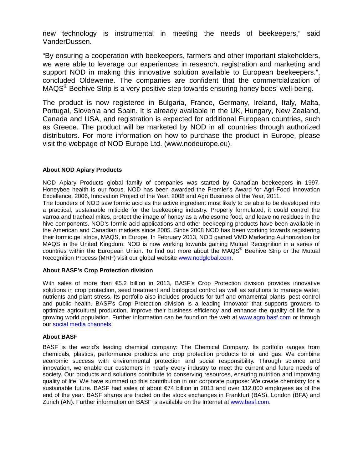new technology is instrumental in meeting the needs of beekeepers," said VanderDussen.

"By ensuring a cooperation with beekeepers, farmers and other important stakeholders, we were able to leverage our experiences in research, registration and marketing and support NOD in making this innovative solution available to European beekeepers.", concluded Oldeweme. The companies are confident that the commercialization of MAQS® Beehive Strip is a very positive step towards ensuring honey bees' well-being.

The product is now registered in Bulgaria, France, Germany, Ireland, Italy, Malta, Portugal, Slovenia and Spain. It is already available in the UK, Hungary, New Zealand, Canada and USA, and registration is expected for additional European countries, such as Greece. The product will be marketed by NOD in all countries through authorized distributors. For more information on how to purchase the product in Europe, please visit the webpage of NOD Europe Ltd. (www.nodeurope.eu).

#### **About NOD Apiary Products**

NOD Apiary Products global family of companies was started by Canadian beekeepers in 1997. Honeybee health is our focus. NOD has been awarded the Premier's Award for Agri-Food Innovation Excellence, 2006, Innovation Project of the Year, 2008 and Agri Business of the Year, 2011.

The founders of NOD saw formic acid as the active ingredient most likely to be able to be developed into a practical, sustainable miticide for the beekeeping industry. Properly formulated, it could control the varroa and tracheal mites, protect the image of honey as a wholesome food, and leave no residues in the hive components. NOD's formic acid applications and other beekeeping products have been available in the American and Canadian markets since 2005. Since 2008 NOD has been working towards registering their formic gel strips, MAQS, in Europe. In February 2013, NOD gained VMD Marketing Authorization for MAQS in the United Kingdom. NOD is now working towards gaining Mutual Recognition in a series of countries within the European Union. To find out more about the MAQS® Beehive Strip or the Mutual Recognition Process (MRP) visit our global website [www.nodglobal.com.](http://www.nodglobal.com/)

#### **About BASF's Crop Protection division**

With sales of more than €5.2 billion in 2013, BASF's Crop Protection division provides innovative solutions in crop protection, seed treatment and biological control as well as solutions to manage water, nutrients and plant stress. Its portfolio also includes products for turf and ornamental plants, pest control and public health. BASF's Crop Protection division is a leading innovator that supports growers to optimize agricultural production, improve their business efficiency and enhance the quality of life for a growing world population. Further information can be found on the web at [www.agro.basf.com](http://www.agro.basf.com/) or through our [social media channels.](http://www.agro.basf.com/agr/AP-Internet/en/content/news_room/social_media/index)

#### **About BASF**

BASF is the world's leading chemical company: The Chemical Company. Its portfolio ranges from chemicals, plastics, performance products and crop protection products to oil and gas. We combine economic success with environmental protection and social responsibility. Through science and innovation, we enable our customers in nearly every industry to meet the current and future needs of society. Our products and solutions contribute to conserving resources, ensuring nutrition and improving quality of life. We have summed up this contribution in our corporate purpose: We create chemistry for a sustainable future. BASF had sales of about €74 billion in 2013 and over 112,000 employees as of the end of the year. BASF shares are traded on the stock exchanges in Frankfurt (BAS), London (BFA) and Zurich (AN). Further information on BASF is available on the Internet at [www.basf.com.](http://www.basf.com/)